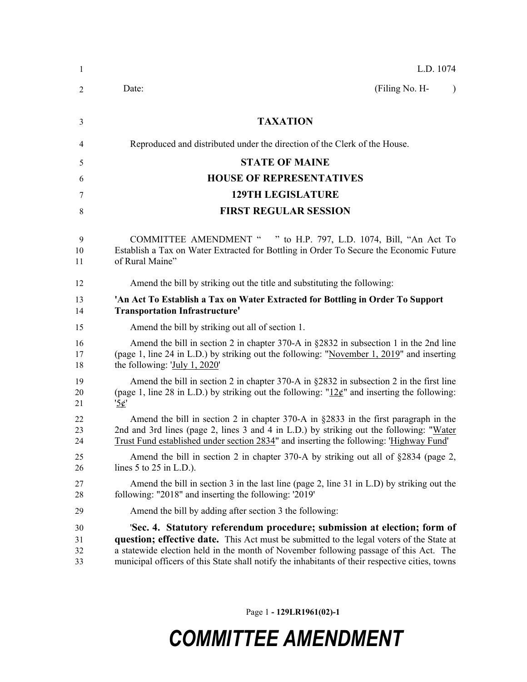| 1                    | L.D. 1074                                                                                                                                                                                                                                                                                                                                                        |
|----------------------|------------------------------------------------------------------------------------------------------------------------------------------------------------------------------------------------------------------------------------------------------------------------------------------------------------------------------------------------------------------|
| 2                    | (Filing No. H-<br>Date:<br>$\lambda$                                                                                                                                                                                                                                                                                                                             |
| 3                    | <b>TAXATION</b>                                                                                                                                                                                                                                                                                                                                                  |
| 4                    | Reproduced and distributed under the direction of the Clerk of the House.                                                                                                                                                                                                                                                                                        |
| 5                    | <b>STATE OF MAINE</b>                                                                                                                                                                                                                                                                                                                                            |
| 6                    | <b>HOUSE OF REPRESENTATIVES</b>                                                                                                                                                                                                                                                                                                                                  |
| 7                    | <b>129TH LEGISLATURE</b>                                                                                                                                                                                                                                                                                                                                         |
| 8                    | <b>FIRST REGULAR SESSION</b>                                                                                                                                                                                                                                                                                                                                     |
| 9<br>10<br>11        | COMMITTEE AMENDMENT " " to H.P. 797, L.D. 1074, Bill, "An Act To<br>Establish a Tax on Water Extracted for Bottling in Order To Secure the Economic Future<br>of Rural Maine"                                                                                                                                                                                    |
| 12                   | Amend the bill by striking out the title and substituting the following:                                                                                                                                                                                                                                                                                         |
| 13<br>14             | 'An Act To Establish a Tax on Water Extracted for Bottling in Order To Support<br><b>Transportation Infrastructure'</b>                                                                                                                                                                                                                                          |
| 15                   | Amend the bill by striking out all of section 1.                                                                                                                                                                                                                                                                                                                 |
| 16<br>17<br>18       | Amend the bill in section 2 in chapter 370-A in $\S 2832$ in subsection 1 in the 2nd line<br>(page 1, line 24 in L.D.) by striking out the following: "November 1, 2019" and inserting<br>the following: $July 1, 2020'$                                                                                                                                         |
| 19<br>20<br>21       | Amend the bill in section 2 in chapter 370-A in $\S 2832$ in subsection 2 in the first line<br>(page 1, line 28 in L.D.) by striking out the following: " $12¢$ " and inserting the following:<br>$\mathcal{L}'$                                                                                                                                                 |
| 22<br>23<br>24       | Amend the bill in section 2 in chapter $370-A$ in $\S 2833$ in the first paragraph in the<br>2nd and 3rd lines (page 2, lines 3 and 4 in L.D.) by striking out the following: "Water<br>Trust Fund established under section 2834" and inserting the following: 'Highway Fund'                                                                                   |
| 25<br>26             | Amend the bill in section 2 in chapter 370-A by striking out all of $\S 2834$ (page 2,<br>lines $5$ to $25$ in L.D.).                                                                                                                                                                                                                                            |
| 27<br>28             | Amend the bill in section 3 in the last line (page 2, line 31 in L.D) by striking out the<br>following: "2018" and inserting the following: '2019'                                                                                                                                                                                                               |
| 29                   | Amend the bill by adding after section 3 the following:                                                                                                                                                                                                                                                                                                          |
| 30<br>31<br>32<br>33 | 'Sec. 4. Statutory referendum procedure; submission at election; form of<br>question; effective date. This Act must be submitted to the legal voters of the State at<br>a statewide election held in the month of November following passage of this Act. The<br>municipal officers of this State shall notify the inhabitants of their respective cities, towns |

Page 1 **- 129LR1961(02)-1**

## *COMMITTEE AMENDMENT*